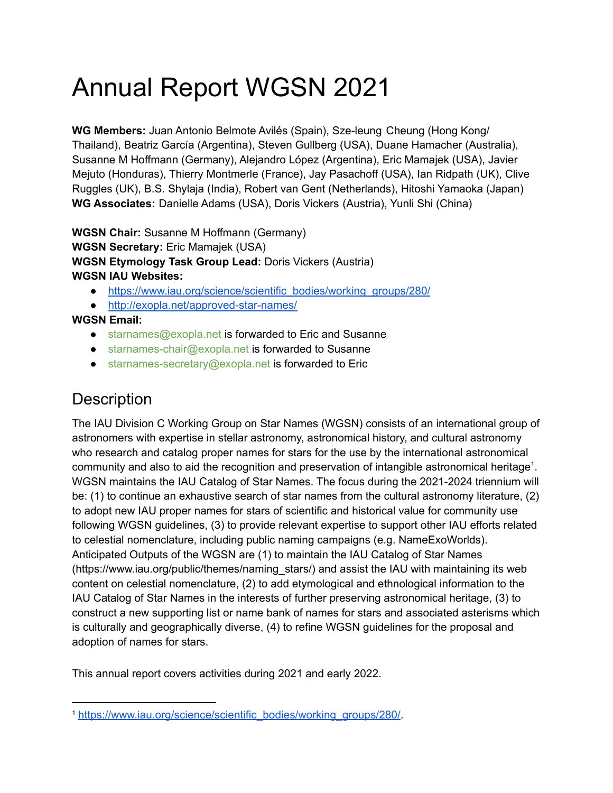# Annual Report WGSN 2021

**WG Members:** Juan Antonio Belmote Avilés (Spain), Sze-leung Cheung (Hong Kong/ Thailand), Beatriz García (Argentina), Steven Gullberg (USA), Duane Hamacher (Australia), Susanne M Hoffmann (Germany), Alejandro López (Argentina), Eric Mamajek (USA), Javier Mejuto (Honduras), Thierry Montmerle (France), Jay Pasachoff (USA), Ian Ridpath (UK), Clive Ruggles (UK), B.S. Shylaja (India), Robert van Gent (Netherlands), Hitoshi Yamaoka (Japan) **WG Associates:** Danielle Adams (USA), Doris Vickers (Austria), Yunli Shi (China)

**WGSN Chair:** Susanne M Hoffmann (Germany) **WGSN Secretary:** Eric Mamajek (USA) **WGSN Etymology Task Group Lead:** Doris Vickers (Austria) **WGSN IAU Websites:**

- [https://www.iau.org/science/scientific\\_bodies/working\\_groups/280/](https://www.iau.org/science/scientific_bodies/working_groups/280/)
- <http://exopla.net/approved-star-names/>

**WGSN Email:**

- starnames@exopla.net is forwarded to Eric and Susanne
- starnames-chair@exopla.net is forwarded to Susanne
- starnames-secretary@exopla.net is forwarded to Eric

# **Description**

The IAU Division C Working Group on Star Names (WGSN) consists of an international group of astronomers with expertise in stellar astronomy, astronomical history, and cultural astronomy who research and catalog proper names for stars for the use by the international astronomical community and also to aid the recognition and preservation of intangible astronomical heritage<sup>1</sup>. WGSN maintains the IAU Catalog of Star Names. The focus during the 2021-2024 triennium will be: (1) to continue an exhaustive search of star names from the cultural astronomy literature, (2) to adopt new IAU proper names for stars of scientific and historical value for community use following WGSN guidelines, (3) to provide relevant expertise to support other IAU efforts related to celestial nomenclature, including public naming campaigns (e.g. NameExoWorlds). Anticipated Outputs of the WGSN are (1) to maintain the IAU Catalog of Star Names (https://www.iau.org/public/themes/naming\_stars/) and assist the IAU with maintaining its web content on celestial nomenclature, (2) to add etymological and ethnological information to the IAU Catalog of Star Names in the interests of further preserving astronomical heritage, (3) to construct a new supporting list or name bank of names for stars and associated asterisms which is culturally and geographically diverse, (4) to refine WGSN guidelines for the proposal and adoption of names for stars.

This annual report covers activities during 2021 and early 2022.

<sup>1</sup> [https://www.iau.org/science/scientific\\_bodies/working\\_groups/280/](https://www.iau.org/science/scientific_bodies/working_groups/280/).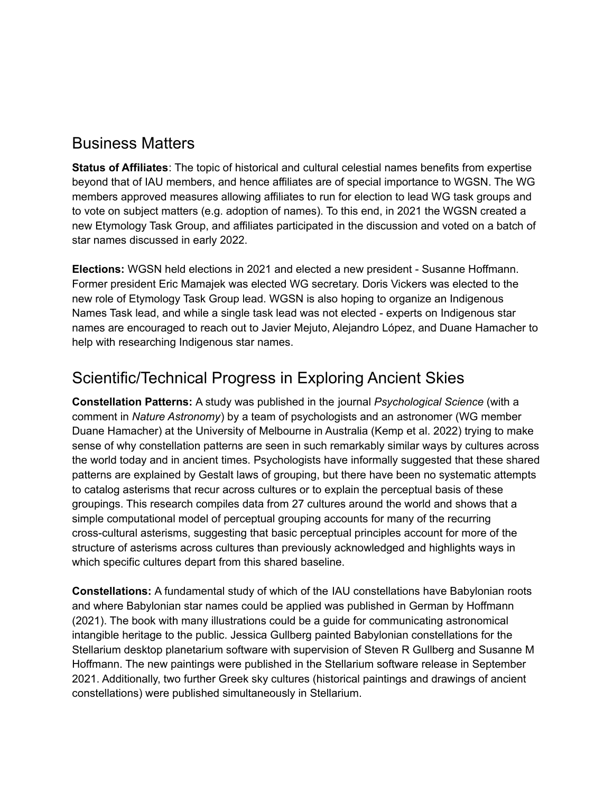### Business Matters

**Status of Affiliates**: The topic of historical and cultural celestial names benefits from expertise beyond that of IAU members, and hence affiliates are of special importance to WGSN. The WG members approved measures allowing affiliates to run for election to lead WG task groups and to vote on subject matters (e.g. adoption of names). To this end, in 2021 the WGSN created a new Etymology Task Group, and affiliates participated in the discussion and voted on a batch of star names discussed in early 2022.

**Elections:** WGSN held elections in 2021 and elected a new president - Susanne Hoffmann. Former president Eric Mamajek was elected WG secretary. Doris Vickers was elected to the new role of Etymology Task Group lead. WGSN is also hoping to organize an Indigenous Names Task lead, and while a single task lead was not elected - experts on Indigenous star names are encouraged to reach out to Javier Mejuto, Alejandro López, and Duane Hamacher to help with researching Indigenous star names.

# Scientific/Technical Progress in Exploring Ancient Skies

**Constellation Patterns:** A study was published in the journal *Psychological Science* (with a comment in *Nature Astronomy*) by a team of psychologists and an astronomer (WG member Duane Hamacher) at the University of Melbourne in Australia (Kemp et al. 2022) trying to make sense of why constellation patterns are seen in such remarkably similar ways by cultures across the world today and in ancient times. Psychologists have informally suggested that these shared patterns are explained by Gestalt laws of grouping, but there have been no systematic attempts to catalog asterisms that recur across cultures or to explain the perceptual basis of these groupings. This research compiles data from 27 cultures around the world and shows that a simple computational model of perceptual grouping accounts for many of the recurring cross-cultural asterisms, suggesting that basic perceptual principles account for more of the structure of asterisms across cultures than previously acknowledged and highlights ways in which specific cultures depart from this shared baseline.

**Constellations:** A fundamental study of which of the IAU constellations have Babylonian roots and where Babylonian star names could be applied was published in German by Hoffmann (2021). The book with many illustrations could be a guide for communicating astronomical intangible heritage to the public. Jessica Gullberg painted Babylonian constellations for the Stellarium desktop planetarium software with supervision of Steven R Gullberg and Susanne M Hoffmann. The new paintings were published in the Stellarium software release in September 2021. Additionally, two further Greek sky cultures (historical paintings and drawings of ancient constellations) were published simultaneously in Stellarium.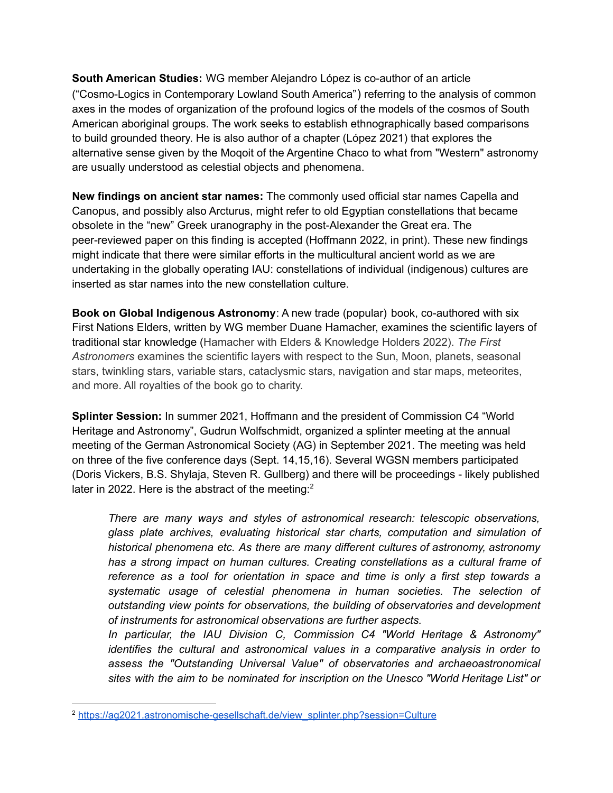**South American Studies:** WG member Alejandro López is co-author of an article ("Cosmo-Logics in Contemporary Lowland South America") referring to the analysis of common axes in the modes of organization of the profound logics of the models of the cosmos of South American aboriginal groups. The work seeks to establish ethnographically based comparisons to build grounded theory. He is also author of a chapter (López 2021) that explores the alternative sense given by the Moqoit of the Argentine Chaco to what from "Western" astronomy are usually understood as celestial objects and phenomena.

**New findings on ancient star names:** The commonly used official star names Capella and Canopus, and possibly also Arcturus, might refer to old Egyptian constellations that became obsolete in the "new" Greek uranography in the post-Alexander the Great era. The peer-reviewed paper on this finding is accepted (Hoffmann 2022, in print). These new findings might indicate that there were similar efforts in the multicultural ancient world as we are undertaking in the globally operating IAU: constellations of individual (indigenous) cultures are inserted as star names into the new constellation culture.

**Book on Global Indigenous Astronomy**: A new trade (popular) book, co-authored with six First Nations Elders, written by WG member Duane Hamacher, examines the scientific layers of traditional star knowledge (Hamacher with Elders & Knowledge Holders 2022). *The First Astronomers* examines the scientific layers with respect to the Sun, Moon, planets, seasonal stars, twinkling stars, variable stars, cataclysmic stars, navigation and star maps, meteorites, and more. All royalties of the book go to charity.

**Splinter Session:** In summer 2021, Hoffmann and the president of Commission C4 "World Heritage and Astronomy", Gudrun Wolfschmidt, organized a splinter meeting at the annual meeting of the German Astronomical Society (AG) in September 2021. The meeting was held on three of the five conference days (Sept. 14,15,16). Several WGSN members participated (Doris Vickers, B.S. Shylaja, Steven R. Gullberg) and there will be proceedings - likely published later in 2022. Here is the abstract of the meeting: $2$ 

*There are many ways and styles of astronomical research: telescopic observations, glass plate archives, evaluating historical star charts, computation and simulation of historical phenomena etc. As there are many different cultures of astronomy, astronomy has a strong impact on human cultures. Creating constellations as a cultural frame of reference as a tool for orientation in space and time is only a first step towards a systematic usage of celestial phenomena in human societies. The selection of outstanding view points for observations, the building of observatories and development of instruments for astronomical observations are further aspects.*

*In particular, the IAU Division C, Commission C4 "World Heritage & Astronomy" identifies the cultural and astronomical values in a comparative analysis in order to assess the "Outstanding Universal Value" of observatories and archaeoastronomical sites with the aim to be nominated for inscription on the Unesco "World Heritage List" or*

<sup>&</sup>lt;sup>2</sup> [https://ag2021.astronomische-gesellschaft.de/view\\_splinter.php?session=Culture](https://ag2021.astronomische-gesellschaft.de/view_splinter.php?session=Culture)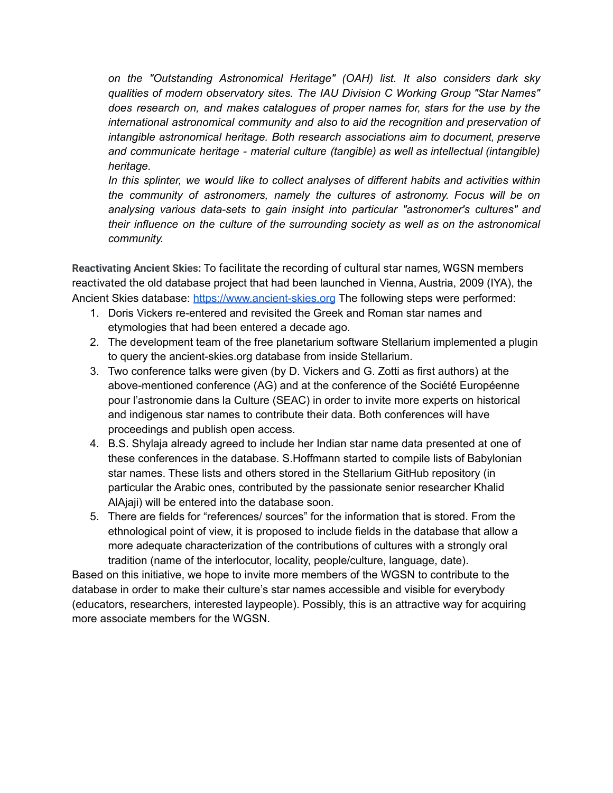*on the "Outstanding Astronomical Heritage" (OAH) list. It also considers dark sky qualities of modern observatory sites. The IAU Division C Working Group "Star Names" does research on, and makes catalogues of proper names for, stars for the use by the international astronomical community and also to aid the recognition and preservation of intangible astronomical heritage. Both research associations aim to document, preserve and communicate heritage - material culture (tangible) as well as intellectual (intangible) heritage.*

*In this splinter, we would like to collect analyses of different habits and activities within the community of astronomers, namely the cultures of astronomy. Focus will be on analysing various data-sets to gain insight into particular "astronomer's cultures" and their influence on the culture of the surrounding society as well as on the astronomical community.*

**Reactivating Ancient Skies:** To facilitate the recording of cultural star names, WGSN members reactivated the old database project that had been launched in Vienna, Austria, 2009 (IYA), the Ancient Skies database: <https://www.ancient-skies.org> The following steps were performed:

- 1. Doris Vickers re-entered and revisited the Greek and Roman star names and etymologies that had been entered a decade ago.
- 2. The development team of the free planetarium software Stellarium implemented a plugin to query the ancient-skies.org database from inside Stellarium.
- 3. Two conference talks were given (by D. Vickers and G. Zotti as first authors) at the above-mentioned conference (AG) and at the conference of the Société Européenne pour l'astronomie dans la Culture (SEAC) in order to invite more experts on historical and indigenous star names to contribute their data. Both conferences will have proceedings and publish open access.
- 4. B.S. Shylaja already agreed to include her Indian star name data presented at one of these conferences in the database. S.Hoffmann started to compile lists of Babylonian star names. These lists and others stored in the Stellarium GitHub repository (in particular the Arabic ones, contributed by the passionate senior researcher Khalid AlAjaji) will be entered into the database soon.
- 5. There are fields for "references/ sources" for the information that is stored. From the ethnological point of view, it is proposed to include fields in the database that allow a more adequate characterization of the contributions of cultures with a strongly oral tradition (name of the interlocutor, locality, people/culture, language, date).

Based on this initiative, we hope to invite more members of the WGSN to contribute to the database in order to make their culture's star names accessible and visible for everybody (educators, researchers, interested laypeople). Possibly, this is an attractive way for acquiring more associate members for the WGSN.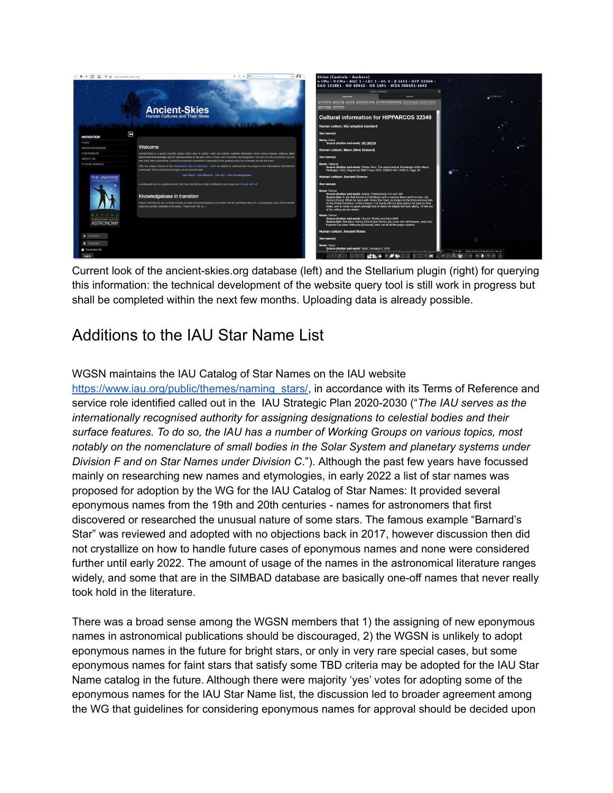

Current look of the ancient-skies.org database (left) and the Stellarium plugin (right) for querying this information: the technical development of the website query tool is still work in progress but shall be completed within the next few months. Uploading data is already possible.

# Additions to the IAU Star Name List

#### WGSN maintains the IAU Catalog of Star Names on the IAU website

[https://www.iau.org/public/themes/naming\\_stars/,](https://www.iau.org/public/themes/naming_stars/) in accordance with its Terms of Reference and service role identified called out in the IAU Strategic Plan 2020-2030 ("*The IAU serves as the internationally recognised authority for assigning designations to celestial bodies and their surface features. To do so, the IAU has a number of Working Groups on various topics, most notably on the nomenclature of small bodies in the Solar System and planetary systems under Division F and on Star Names under Division C*."). Although the past few years have focussed mainly on researching new names and etymologies, in early 2022 a list of star names was proposed for adoption by the WG for the IAU Catalog of Star Names: It provided several eponymous names from the 19th and 20th centuries - names for astronomers that first discovered or researched the unusual nature of some stars. The famous example "Barnard's Star" was reviewed and adopted with no objections back in 2017, however discussion then did not crystallize on how to handle future cases of eponymous names and none were considered further until early 2022. The amount of usage of the names in the astronomical literature ranges widely, and some that are in the SIMBAD database are basically one-off names that never really took hold in the literature.

There was a broad sense among the WGSN members that 1) the assigning of new eponymous names in astronomical publications should be discouraged, 2) the WGSN is unlikely to adopt eponymous names in the future for bright stars, or only in very rare special cases, but some eponymous names for faint stars that satisfy some TBD criteria may be adopted for the IAU Star Name catalog in the future. Although there were majority 'yes' votes for adopting some of the eponymous names for the IAU Star Name list, the discussion led to broader agreement among the WG that guidelines for considering eponymous names for approval should be decided upon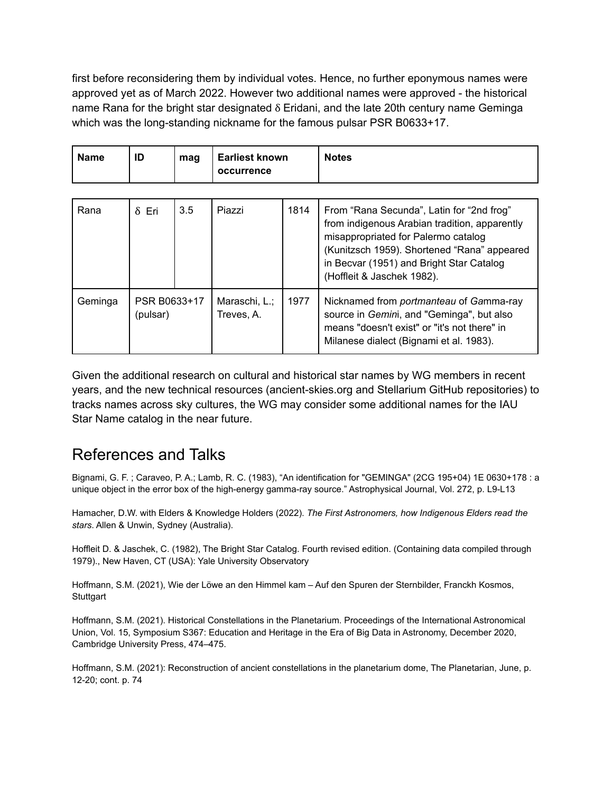first before reconsidering them by individual votes. Hence, no further eponymous names were approved yet as of March 2022. However two additional names were approved - the historical name Rana for the bright star designated δ Eridani, and the late 20th century name Geminga which was the long-standing nickname for the famous pulsar PSR B0633+17.

| <b>Name</b> | ID | mag | <b>Earliest known</b><br>occurrence | <b>Notes</b> |
|-------------|----|-----|-------------------------------------|--------------|
|-------------|----|-----|-------------------------------------|--------------|

| Rana    | $\delta$ Eri             | 3.5 | Piazzi                      | 1814 | From "Rana Secunda", Latin for "2nd frog"<br>from indigenous Arabian tradition, apparently<br>misappropriated for Palermo catalog<br>(Kunitzsch 1959). Shortened "Rana" appeared<br>in Becvar (1951) and Bright Star Catalog<br>(Hoffleit & Jaschek 1982). |
|---------|--------------------------|-----|-----------------------------|------|------------------------------------------------------------------------------------------------------------------------------------------------------------------------------------------------------------------------------------------------------------|
| Geminga | PSR B0633+17<br>(pulsar) |     | Maraschi, L.;<br>Treves, A. | 1977 | Nicknamed from portmanteau of Gamma-ray<br>source in Gemini, and "Geminga", but also<br>means "doesn't exist" or "it's not there" in<br>Milanese dialect (Bignami et al. 1983).                                                                            |

Given the additional research on cultural and historical star names by WG members in recent years, and the new technical resources (ancient-skies.org and Stellarium GitHub repositories) to tracks names across sky cultures, the WG may consider some additional names for the IAU Star Name catalog in the near future.

## References and Talks

Bignami, G. F. ; Caraveo, P. A.; Lamb, R. C. (1983), "An identification for "GEMINGA" (2CG 195+04) 1E 0630+178 : a unique object in the error box of the high-energy gamma-ray source." Astrophysical Journal, Vol. 272, p. L9-L13

Hamacher, D.W. with Elders & Knowledge Holders (2022). *The First Astronomers, how Indigenous Elders read the stars*. Allen & Unwin, Sydney (Australia).

Hoffleit D. & Jaschek, C. (1982), The Bright Star Catalog. Fourth revised edition. (Containing data compiled through 1979)., New Haven, CT (USA): Yale University Observatory

Hoffmann, S.M. (2021), Wie der Löwe an den Himmel kam – Auf den Spuren der Sternbilder, Franckh Kosmos, **Stuttgart** 

Hoffmann, S.M. (2021). Historical Constellations in the Planetarium. Proceedings of the International Astronomical Union, Vol. 15, Symposium S367: Education and Heritage in the Era of Big Data in Astronomy, December 2020, Cambridge University Press, 474–475.

Hoffmann, S.M. (2021): Reconstruction of ancient constellations in the planetarium dome, The Planetarian, June, p. 12-20; cont. p. 74